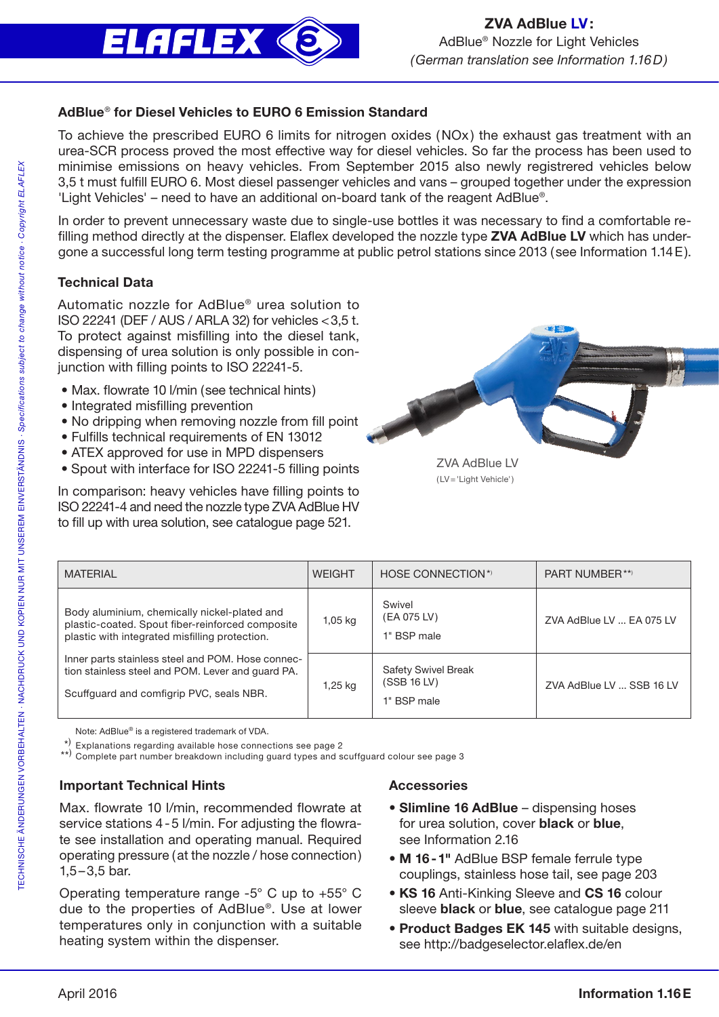

## AdBlue® for Diesel Vehicles to EURO 6 Emission Standard

To achieve the prescribed EURO 6 limits for nitrogen oxides (NOx ) the exhaust gas treatment with an urea-SCR process proved the most effective way for diesel vehicles. So far the process has been used to minimise emissions on heavy vehicles. From September 2015 also newly registrered vehicles below 3,5 t must fulfill EURO 6. Most diesel passenger vehicles and vans – grouped together under the expression 'Light Vehicles' – need to have an additional on-board tank of the reagent AdBlue®.

In order to prevent unnecessary waste due to single-use bottles it was necessary to find a comfortable refilling method directly at the dispenser. Elaflex developed the nozzle type ZVA AdBlue LV which has undergone a successful long term testing programme at public petrol stations since 2013 (see Information 1.14E).

# Technical Data

Automatic nozzle for AdBlue® urea solution to ISO 22241 (DEF / AUS / ARLA 32) for vehicles <3,5 t. To protect against misfilling into the diesel tank, dispensing of urea solution is only possible in conjunction with filling points to ISO 22241-5.

- Max. flowrate 10 l/min (see technical hints)
- Integrated misfilling prevention
- No dripping when removing nozzle from fill point
- Fulfills technical requirements of EN 13012
- ATEX approved for use in MPD dispensers
- Spout with interface for ISO 22241-5 filling points

In comparison: heavy vehicles have filling points to ISO 22241-4 and need the nozzle type ZVA AdBlue HV to fill up with urea solution, see catalogue page 521.



(LV='Light Vehicle')

| <b>MATERIAL</b>                                                                                                                                    | <b>WEIGHT</b> | HOSE CONNECTION*                                         | PART NUMBER**)           |
|----------------------------------------------------------------------------------------------------------------------------------------------------|---------------|----------------------------------------------------------|--------------------------|
| Body aluminium, chemically nickel-plated and<br>plastic-coated. Spout fiber-reinforced composite<br>plastic with integrated misfilling protection. | $1,05$ kg     | Swivel<br>(EA 075 LV)<br>1" BSP male                     | ZVA AdBlue LV  EA 075 LV |
| Inner parts stainless steel and POM. Hose connec-<br>tion stainless steel and POM. Lever and quard PA.<br>Scuffguard and comfigrip PVC, seals NBR. | 1,25 kg       | <b>Safety Swivel Break</b><br>(SSB 16 LV)<br>1" BSP male | ZVA AdBlue LV  SSB 16 LV |

Note: AdBlue® is a registered trademark of VDA.

Explanations regarding available hose connections see page 2

\*\*) Complete part number breakdown including guard types and scuffguard colour see page 3

## Important Technical Hints

Max. flowrate 10 l/min, recommended flowrate at service stations 4-5 l/min. For adjusting the flowrate see installation and operating manual. Required operating pressure (at the nozzle / hose connection)  $1,5-3,5$  bar.

Operating temperature range -5° C up to +55° C due to the properties of AdBlue®. Use at lower temperatures only in conjunction with a suitable heating system within the dispenser.

#### Accessories

- Slimline 16 AdBlue dispensing hoses for urea solution, cover **black** or **blue**, see Information 2.16
- M 16-1" AdBlue BSP female ferrule type couplings, stainless hose tail, see page 203
- KS 16 Anti-Kinking Sleeve and CS 16 colour sleeve **black** or **blue**, see catalogue page 211
- Product Badges EK 145 with suitable designs, see http://badgeselector.elaflex.de/en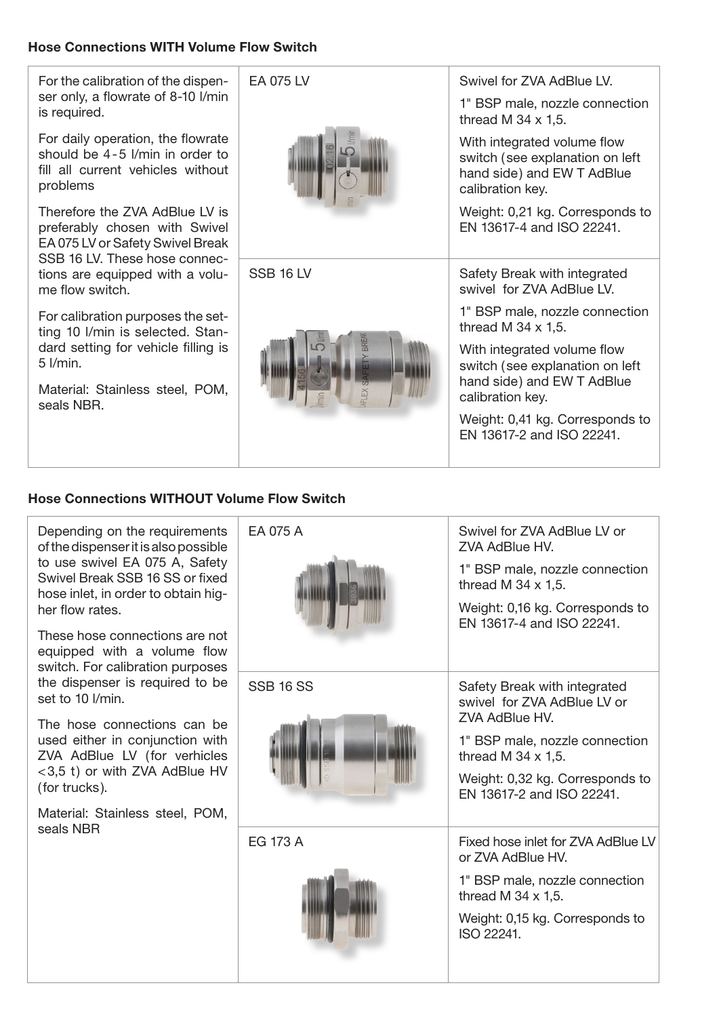## Hose Connections WITH Volume Flow Switch

For the calibration of the dispenser only, a flowrate of 8-10 l/min is required.

For daily operation, the flowrate should be 4-5 l/min in order to fill all current vehicles without problems

Therefore the ZVA AdBlue LV is preferably chosen with Swivel EA 075 LV or Safety Swivel Break SSB 16 LV. These hose connections are equipped with a volume flow switch.

For calibration purposes the setting 10 l/min is selected. Standard setting for vehicle filling is 5 l/min.

Material: Stainless steel, POM, seals NBR.

| EA 075 LV        | Swivel for ZVA AdBlue LV.<br>1" BSP male, nozzle connection                                                                |  |  |
|------------------|----------------------------------------------------------------------------------------------------------------------------|--|--|
|                  | thread M $34 \times 1,5$ .<br>With integrated volume flow<br>switch (see explanation on left<br>hand side) and EW T AdBlue |  |  |
|                  | calibration key.                                                                                                           |  |  |
|                  | Weight: 0,21 kg. Corresponds to<br>EN 13617-4 and ISO 22241.                                                               |  |  |
| <b>SSB 16 LV</b> | Safety Break with integrated<br>swivel for 7VA AdBlue IV                                                                   |  |  |
|                  | 1" BSP male, nozzle connection<br>thread M $34 \times 1.5$ .                                                               |  |  |
| ΕX               | With integrated volume flow<br>switch (see explanation on left<br>hand side) and EW T AdBlue<br>calibration key.           |  |  |
|                  | Weight: 0,41 kg. Corresponds to<br>FN 13617-2 and ISO 22241.                                                               |  |  |

## Hose Connections WITHOUT Volume Flow Switch

Depending on the requirements of the dispenser it is also possible to use swivel EA 075 A, Safety Swivel Break SSB 16 SS or fixed hose inlet, in order to obtain higher flow rates.

These hose connections are not equipped with a volume flow switch. For calibration purposes the dispenser is required to be set to 10 l/min.

The hose connections can be used either in conjunction with ZVA AdBlue LV (for verhicles <3,5 t) or with ZVA AdBlue HV (for trucks).

Material: Stainless steel, POM, seals NBR

| EA 075 A         | Swivel for ZVA AdBlue LV or<br>ZVA AdBlue HV.<br>1" BSP male, nozzle connection<br>thread M $34 \times 1.5$ .<br>Weight: 0,16 kg. Corresponds to<br>EN 13617-4 and ISO 22241.                                        |
|------------------|----------------------------------------------------------------------------------------------------------------------------------------------------------------------------------------------------------------------|
| <b>SSB 16 SS</b> | Safety Break with integrated<br>swivel for ZVA AdBlue LV or<br><b>7VA AdBlue HV.</b><br>1" BSP male, nozzle connection<br>thread M $34 \times 1.5$ .<br>Weight: 0,32 kg. Corresponds to<br>EN 13617-2 and ISO 22241. |
| FG 173 A         | Fixed hose inlet for ZVA AdBlue LV<br>or 7VA AdBlue HV.<br>1" BSP male, nozzle connection<br>thread M $34 \times 1.5$ .<br>Weight: 0,15 kg. Corresponds to<br>ISO 22241.                                             |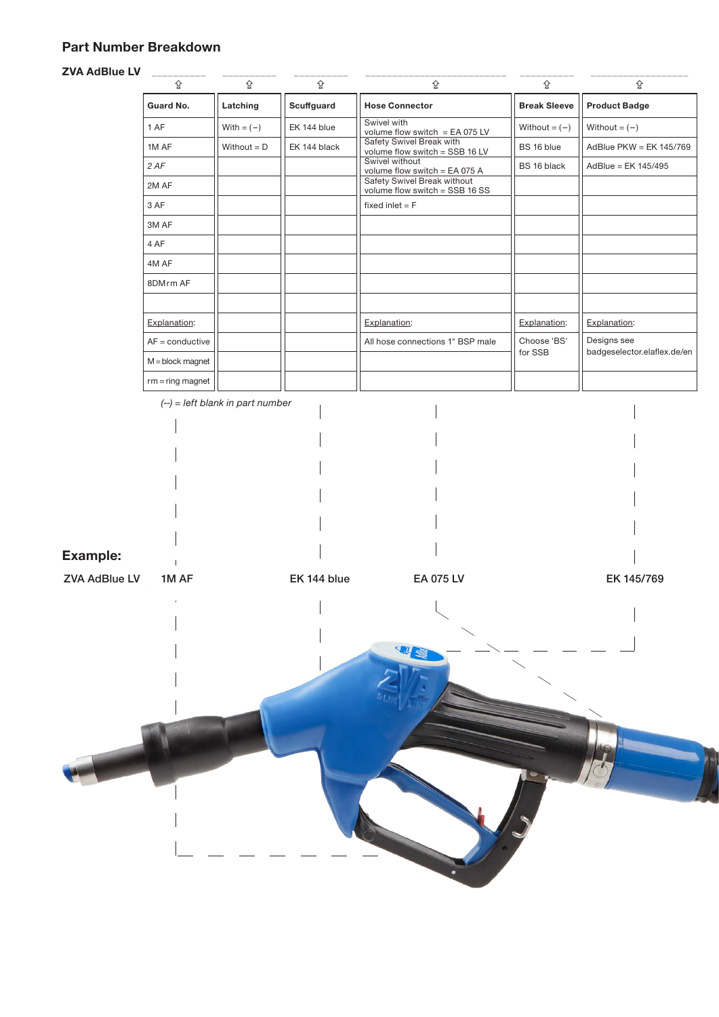# Part Number Breakdown

#### $ZVA$

| <b>ZVA AdBlue LV</b> | 슙                        | 슙                                 | 슙            | 슙                                                                                              | 슙                      | 슙                                          |
|----------------------|--------------------------|-----------------------------------|--------------|------------------------------------------------------------------------------------------------|------------------------|--------------------------------------------|
|                      | Guard No.                | Latching                          | Scuffguard   | <b>Hose Connector</b>                                                                          | <b>Break Sleeve</b>    | <b>Product Badge</b>                       |
|                      | 1 AF                     | With $= (-)$                      | EK 144 blue  | Swivel with                                                                                    | Without = $(-)$        | Without = $(-)$                            |
|                      | 1M AF                    | Without $= D$                     | EK 144 black | volume flow switch = EA 075 LV<br>Safety Swivel Break with<br>volume flow switch = $SSB$ 16 LV | BS 16 blue             | AdBlue PKW = EK 145/769                    |
|                      | 2 AF                     |                                   |              | Swivel without<br>volume flow switch = EA 075 A                                                | BS 16 black            | AdBlue = EK 145/495                        |
|                      | 2M AF                    |                                   |              | Safety Swivel Break without<br>volume flow switch = $SSB$ 16 SS                                |                        |                                            |
|                      | 3 AF                     |                                   |              | fixed inlet $=$ $F$                                                                            |                        |                                            |
|                      | 3M AF                    |                                   |              |                                                                                                |                        |                                            |
|                      | 4 AF                     |                                   |              |                                                                                                |                        |                                            |
|                      | 4M AF                    |                                   |              |                                                                                                |                        |                                            |
|                      | 8DMrm AF                 |                                   |              |                                                                                                |                        |                                            |
|                      |                          |                                   |              |                                                                                                |                        |                                            |
|                      | Explanation:             |                                   |              | Explanation:                                                                                   | Explanation:           | Explanation:                               |
|                      | $AF = \text{conductive}$ |                                   |              | All hose connections 1" BSP male                                                               | Choose 'BS'<br>for SSB | Designs see<br>badgeselector.elaflex.de/en |
|                      | $M = block$ magnet       |                                   |              |                                                                                                |                        |                                            |
|                      | $rm = ring magnet$       |                                   |              |                                                                                                |                        |                                            |
|                      |                          | $(-)$ = left blank in part number |              |                                                                                                |                        |                                            |
|                      |                          |                                   |              |                                                                                                |                        |                                            |
|                      |                          |                                   |              |                                                                                                |                        |                                            |
|                      |                          |                                   |              |                                                                                                |                        |                                            |
|                      |                          |                                   |              |                                                                                                |                        |                                            |
|                      |                          |                                   |              |                                                                                                |                        |                                            |
|                      |                          |                                   |              |                                                                                                |                        |                                            |
| <b>Example:</b>      |                          |                                   |              |                                                                                                |                        |                                            |
| <b>ZVA AdBlue LV</b> | 1M AF                    |                                   | EK 144 blue  | EA 075 LV                                                                                      |                        | EK 145/769                                 |
|                      |                          |                                   |              |                                                                                                |                        |                                            |
|                      | $\mathbf{r}$             |                                   |              |                                                                                                |                        | $\mathbf{H}$                               |
|                      |                          |                                   |              |                                                                                                |                        |                                            |
|                      |                          |                                   |              | W                                                                                              |                        |                                            |
|                      |                          |                                   |              |                                                                                                |                        |                                            |
|                      |                          |                                   |              |                                                                                                |                        |                                            |
|                      |                          |                                   |              |                                                                                                |                        |                                            |
|                      |                          |                                   |              |                                                                                                |                        |                                            |
|                      |                          |                                   |              |                                                                                                |                        |                                            |
|                      |                          |                                   |              |                                                                                                |                        |                                            |
|                      |                          |                                   |              |                                                                                                |                        |                                            |
|                      |                          |                                   |              |                                                                                                |                        |                                            |
|                      |                          |                                   |              |                                                                                                |                        |                                            |
|                      |                          |                                   |              |                                                                                                |                        |                                            |